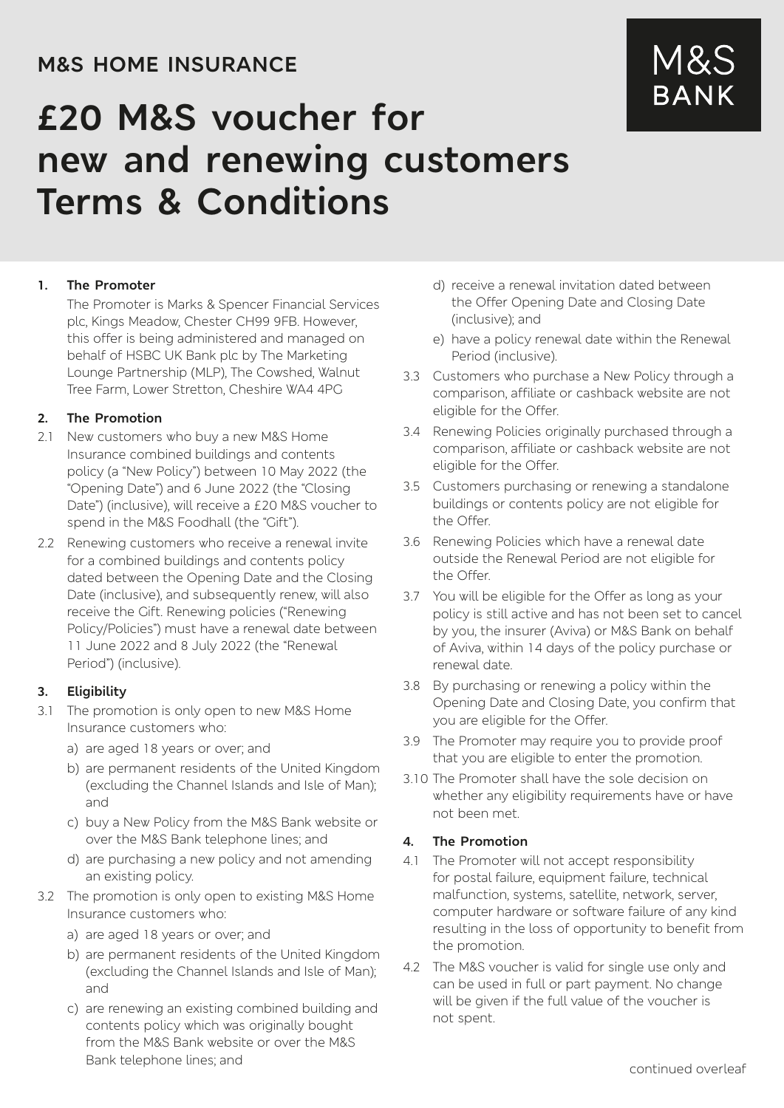## **M&S HOME INSURANCE**

# **£20 M&S voucher for new and renewing customers Terms & Conditions**

#### **1. The Promoter**

The Promoter is Marks & Spencer Financial Services plc, Kings Meadow, Chester CH99 9FB. However, this offer is being administered and managed on behalf of HSBC UK Bank plc by The Marketing Lounge Partnership (MLP), The Cowshed, Walnut Tree Farm, Lower Stretton, Cheshire WA4 4PG

#### **2. The Promotion**

- 2.1 New customers who buy a new M&S Home Insurance combined buildings and contents policy (a "New Policy") between 10 May 2022 (the "Opening Date") and 6 June 2022 (the "Closing Date") (inclusive), will receive a £20 M&S voucher to spend in the M&S Foodhall (the "Gift").
- 2.2 Renewing customers who receive a renewal invite for a combined buildings and contents policy dated between the Opening Date and the Closing Date (inclusive), and subsequently renew, will also receive the Gift. Renewing policies ("Renewing Policy/Policies") must have a renewal date between 11 June 2022 and 8 July 2022 (the "Renewal Period") (inclusive).

#### **3. Eligibility**

- 3.1 The promotion is only open to new M&S Home Insurance customers who:
	- a) are aged 18 years or over; and
	- b) are permanent residents of the United Kingdom (excluding the Channel Islands and Isle of Man); and
	- c) buy a New Policy from the M&S Bank website or over the M&S Bank telephone lines; and
	- d) are purchasing a new policy and not amending an existing policy.
- 3.2 The promotion is only open to existing M&S Home Insurance customers who:
	- a) are aged 18 years or over; and
	- b) are permanent residents of the United Kingdom (excluding the Channel Islands and Isle of Man); and
	- c) are renewing an existing combined building and contents policy which was originally bought from the M&S Bank website or over the M&S Bank telephone lines; and
- d) receive a renewal invitation dated between the Offer Opening Date and Closing Date (inclusive); and
- e) have a policy renewal date within the Renewal Period (inclusive).
- 3.3 Customers who purchase a New Policy through a comparison, affiliate or cashback website are not eligible for the Offer.
- 3.4 Renewing Policies originally purchased through a comparison, affiliate or cashback website are not eligible for the Offer.
- 3.5 Customers purchasing or renewing a standalone buildings or contents policy are not eligible for the Offer.
- 3.6 Renewing Policies which have a renewal date outside the Renewal Period are not eligible for the Offer.
- 3.7 You will be eligible for the Offer as long as your policy is still active and has not been set to cancel by you, the insurer (Aviva) or M&S Bank on behalf of Aviva, within 14 days of the policy purchase or renewal date.
- 3.8 By purchasing or renewing a policy within the Opening Date and Closing Date, you confirm that you are eligible for the Offer.
- 3.9 The Promoter may require you to provide proof that you are eligible to enter the promotion.
- 3.10 The Promoter shall have the sole decision on whether any eligibility requirements have or have not been met.

#### **4. The Promotion**

- 4.1 The Promoter will not accept responsibility for postal failure, equipment failure, technical malfunction, systems, satellite, network, server, computer hardware or software failure of any kind resulting in the loss of opportunity to benefit from the promotion.
- 4.2 The M&S voucher is valid for single use only and can be used in full or part payment. No change will be given if the full value of the voucher is not spent.